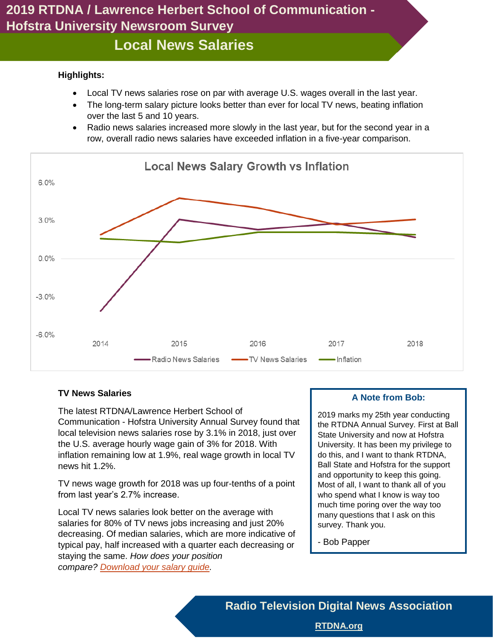# **Local News Salaries**

#### **Highlights:**

- Local TV news salaries rose on par with average U.S. wages overall in the last year.
- The long-term salary picture looks better than ever for local TV news, beating inflation over the last 5 and 10 years.
- Radio news salaries increased more slowly in the last year, but for the second year in a row, overall radio news salaries have exceeded inflation in a five-year comparison.



### **TV News Salaries**

The latest RTDNA/Lawrence Herbert School of Communication - Hofstra University Annual Survey found that local television news salaries rose by 3.1% in 2018, just over the U.S. average hourly wage gain of 3% for 2018. With inflation remaining low at 1.9%, real wage growth in local TV news hit 1.2%.

TV news wage growth for 2018 was up four-tenths of a point from last year's 2.7% increase.

Local TV news salaries look better on the average with salaries for 80% of TV news jobs increasing and just 20% decreasing. Of median salaries, which are more indicative of typical pay, half increased with a quarter each decreasing or staying the same. *How does your position compare? [Download your salary guide.](https://rtdna.site-ym.com/store/view_product.asp?id=13678359)*

#### **A Note from Bob:**

2019 marks my 25th year conducting the RTDNA Annual Survey. First at Ball State University and now at Hofstra University. It has been my privilege to do this, and I want to thank RTDNA, Ball State and Hofstra for the support and opportunity to keep this going. Most of all, I want to thank all of you who spend what I know is way too much time poring over the way too many questions that I ask on this survey. Thank you.

- Bob Papper

**Radio Television Digital News Association**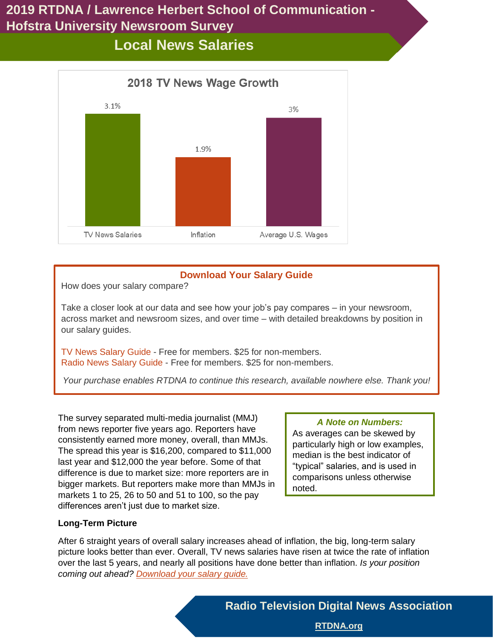# **Local News Salaries**



## **Download Your Salary Guide**

How does your salary compare?

Take a closer look at our data and see how your job's pay compares – in your newsroom, across market and newsroom sizes, and over time – with detailed breakdowns by position in our salary guides.

[TV News Salary Guide](https://rtdna.site-ym.com/store/view_product.asp?id=13678359) - Free for members. \$25 for non-members. [Radio News Salary Guide](http://rtdna.site-ym.com/store/view_product.asp?id=11324112) - Free for members. \$25 for non-members.

*Your purchase enables RTDNA to continue this research, available nowhere else. Thank you!*

The survey separated multi-media journalist (MMJ) from news reporter five years ago. Reporters have consistently earned more money, overall, than MMJs. The spread this year is \$16,200, compared to \$11,000 last year and \$12,000 the year before. Some of that difference is due to market size: more reporters are in bigger markets. But reporters make more than MMJs in markets 1 to 25, 26 to 50 and 51 to 100, so the pay differences aren't just due to market size.

### *A Note on Numbers:*

As averages can be skewed by particularly high or low examples, median is the best indicator of "typical" salaries, and is used in comparisons unless otherwise noted.

### **Long-Term Picture**

After 6 straight years of overall salary increases ahead of inflation, the big, long-term salary picture looks better than ever. Overall, TV news salaries have risen at twice the rate of inflation over the last 5 years, and nearly all positions have done better than inflation. *Is your position coming out ahead? [Download your salary guide.](https://rtdna.site-ym.com/store/view_product.asp?id=13678359)*

**Radio Television Digital News Association**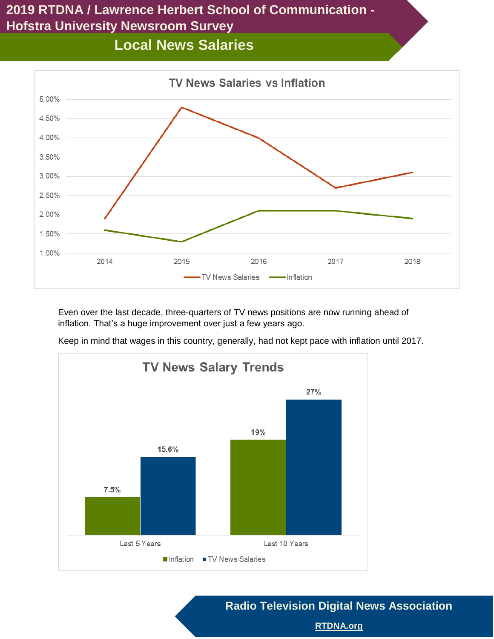# **Local News Salaries**



Even over the last decade, three-quarters of TV news positions are now running ahead of inflation. That's a huge improvement over just a few years ago.

Keep in mind that wages in this country, generally, had not kept pace with inflation until 2017.



**Radio Television Digital News Association**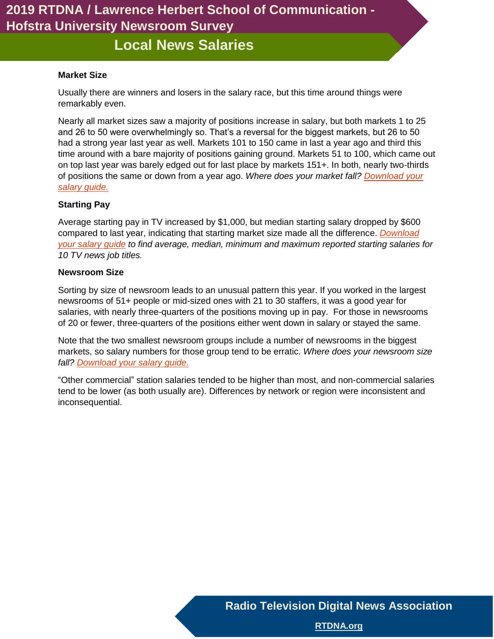**Local News Salaries**

#### **Market Size**

Usually there are winners and losers in the salary race, but this time around things were remarkably even.

Nearly all market sizes saw a majority of positions increase in salary, but both markets 1 to 25 and 26 to 50 were overwhelmingly so. That's a reversal for the biggest markets, but 26 to 50 had a strong year last year as well. Markets 101 to 150 came in last a year ago and third this time around with a bare majority of positions gaining ground. Markets 51 to 100, which came out on top last year was barely edged out for last place by markets 151+. In both, nearly two-thirds of positions the same or down from a year ago. *Where does your market fall? [Download your](https://rtdna.site-ym.com/store/view_product.asp?id=13678359)  [salary guide.](https://rtdna.site-ym.com/store/view_product.asp?id=13678359)*

#### **Starting Pay**

Average starting pay in TV increased by \$1,000, but median starting salary dropped by \$600 compared to last year, indicating that starting market size made all the difference. *[Download](https://rtdna.site-ym.com/store/view_product.asp?id=13678359)  [your salary guide](https://rtdna.site-ym.com/store/view_product.asp?id=13678359) to find average, median, minimum and maximum reported starting salaries for 10 TV news job titles.*

#### **Newsroom Size**

Sorting by size of newsroom leads to an unusual pattern this year. If you worked in the largest newsrooms of 51+ people or mid-sized ones with 21 to 30 staffers, it was a good year for salaries, with nearly three-quarters of the positions moving up in pay. For those in newsrooms of 20 or fewer, three-quarters of the positions either went down in salary or stayed the same.

Note that the two smallest newsroom groups include a number of newsrooms in the biggest markets, so salary numbers for those group tend to be erratic. *Where does your newsroom size fall? [Download your salary guide.](https://rtdna.site-ym.com/store/view_product.asp?id=13678359)*

"Other commercial" station salaries tended to be higher than most, and non-commercial salaries tend to be lower (as both usually are). Differences by network or region were inconsistent and inconsequential.

**Radio Television Digital News Association**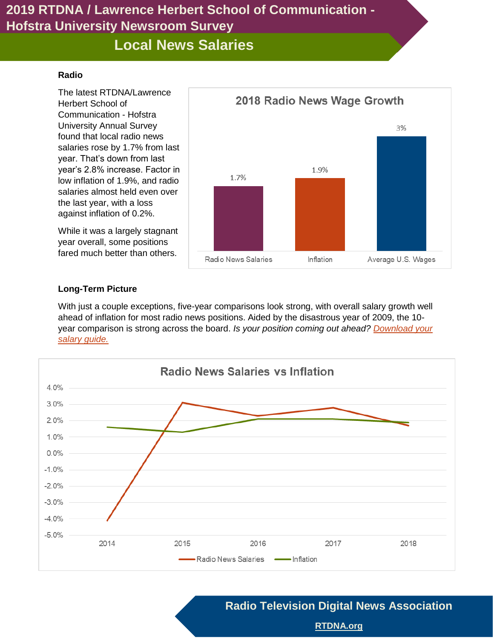# **Local News Salaries**

#### **Radio**

The latest RTDNA/Lawrence Herbert School of Communication - Hofstra University Annual Survey found that local radio news salaries rose by 1.7% from last year. That's down from last year's 2.8% increase. Factor in low inflation of 1.9%, and radio salaries almost held even over the last year, with a loss against inflation of 0.2%.

While it was a largely stagnant year overall, some positions fared much better than others.



### **Long-Term Picture**

With just a couple exceptions, five-year comparisons look strong, with overall salary growth well ahead of inflation for most radio news positions. Aided by the disastrous year of 2009, the 10 year comparison is strong across the board. *Is your position coming out ahead? [Download your](https://rtdna.site-ym.com/store/view_product.asp?id=13678485)  [salary guide.](https://rtdna.site-ym.com/store/view_product.asp?id=13678485)*



**Radio Television Digital News Association**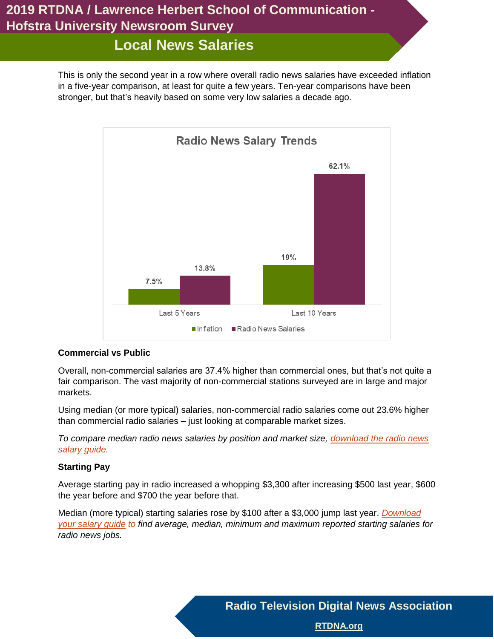# **Local News Salaries**

This is only the second year in a row where overall radio news salaries have exceeded inflation in a five-year comparison, at least for quite a few years. Ten-year comparisons have been stronger, but that's heavily based on some very low salaries a decade ago.



### **Commercial vs Public**

Overall, non-commercial salaries are 37.4% higher than commercial ones, but that's not quite a fair comparison. The vast majority of non-commercial stations surveyed are in large and major markets.

Using median (or more typical) salaries, non-commercial radio salaries come out 23.6% higher than commercial radio salaries – just looking at comparable market sizes.

*To compare median radio news salaries by position and market size, [download the radio news](https://rtdna.site-ym.com/store/view_product.asp?id=13678485)  [salary guide.](https://rtdna.site-ym.com/store/view_product.asp?id=13678485)*

### **Starting Pay**

Average starting pay in radio increased a whopping \$3,300 after increasing \$500 last year, \$600 the year before and \$700 the year before that.

Median (more typical) starting salaries rose by \$100 after a \$3,000 jump last year. *[Download](https://rtdna.site-ym.com/store/view_product.asp?id=13678485)  [your salary guide](https://rtdna.site-ym.com/store/view_product.asp?id=13678485) to find average, median, minimum and maximum reported starting salaries for radio news jobs.*

**Radio Television Digital News Association**